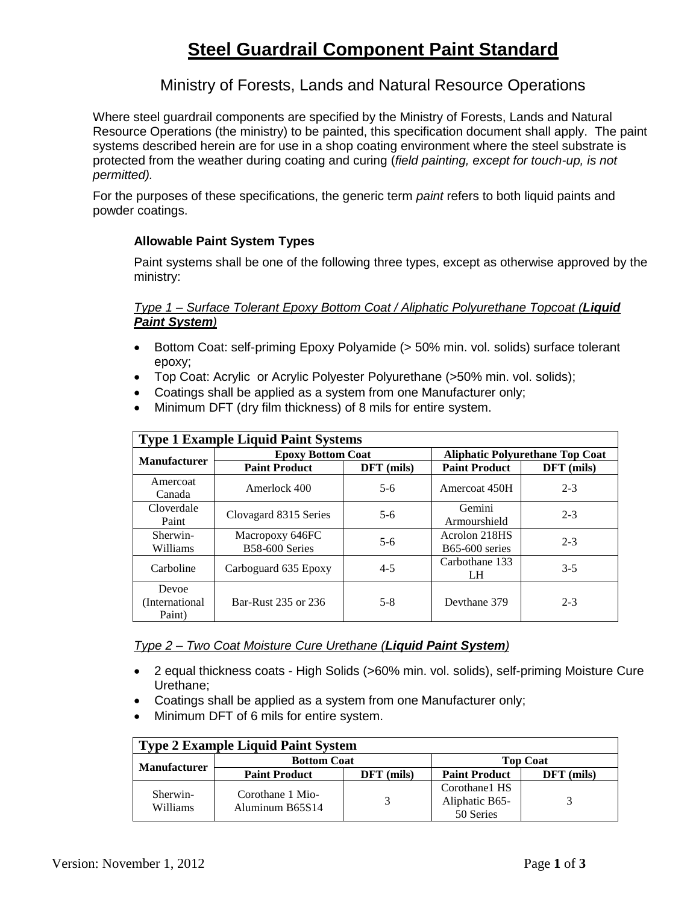# **Steel Guardrail Component Paint Standard**

# Ministry of Forests, Lands and Natural Resource Operations

Where steel guardrail components are specified by the Ministry of Forests, Lands and Natural Resource Operations (the ministry) to be painted, this specification document shall apply. The paint systems described herein are for use in a shop coating environment where the steel substrate is protected from the weather during coating and curing (*field painting, except for touch-up, is not permitted).*

For the purposes of these specifications, the generic term *paint* refers to both liquid paints and powder coatings.

# **Allowable Paint System Types**

Paint systems shall be one of the following three types, except as otherwise approved by the ministry:

#### *Type 1 – Surface Tolerant Epoxy Bottom Coat / Aliphatic Polyurethane Topcoat (Liquid Paint System)*

- Bottom Coat: self-priming Epoxy Polyamide (> 50% min. vol. solids) surface tolerant epoxy;
- Top Coat: Acrylic or Acrylic Polyester Polyurethane (>50% min. vol. solids);
- Coatings shall be applied as a system from one Manufacturer only;
- Minimum DFT (dry film thickness) of 8 mils for entire system.

| <b>Type 1 Example Liquid Paint Systems</b> |                                   |            |                                        |            |  |  |  |
|--------------------------------------------|-----------------------------------|------------|----------------------------------------|------------|--|--|--|
| <b>Manufacturer</b>                        | <b>Epoxy Bottom Coat</b>          |            | <b>Aliphatic Polyurethane Top Coat</b> |            |  |  |  |
|                                            | <b>Paint Product</b>              | DFT (mils) | <b>Paint Product</b>                   | DFT (mils) |  |  |  |
| Amercoat<br>Canada                         | Amerlock 400                      | $5-6$      | Amercoat 450H                          | $2 - 3$    |  |  |  |
| Cloverdale<br>Paint                        | Clovagard 8315 Series             | $5-6$      | Gemini<br>Armourshield                 | $2 - 3$    |  |  |  |
| Sherwin-<br>Williams                       | Macropoxy 646FC<br>B58-600 Series | $5-6$      | Acrolon 218HS<br>$B65-600$ series      | $2 - 3$    |  |  |  |
| Carboline                                  | Carboguard 635 Epoxy              | $4 - 5$    | Carbothane 133<br>LH                   | $3-5$      |  |  |  |
| Devoe<br>(International)<br>Paint)         | Bar-Rust 235 or 236               | $5-8$      | Devthane 379                           | $2 - 3$    |  |  |  |

## *Type 2 – Two Coat Moisture Cure Urethane (Liquid Paint System)*

- 2 equal thickness coats High Solids (>60% min. vol. solids), self-priming Moisture Cure Urethane;
- Coatings shall be applied as a system from one Manufacturer only;
- Minimum DFT of 6 mils for entire system.

| <b>Type 2 Example Liquid Paint System</b> |                                     |              |                                              |            |  |  |  |
|-------------------------------------------|-------------------------------------|--------------|----------------------------------------------|------------|--|--|--|
| <b>Manufacturer</b>                       | <b>Bottom Coat</b>                  |              | <b>Top Coat</b>                              |            |  |  |  |
|                                           | <b>Paint Product</b>                | $DFT$ (mils) | <b>Paint Product</b>                         | DFT (mils) |  |  |  |
| Sherwin-<br>Williams                      | Corothane 1 Mio-<br>Aluminum B65S14 |              | Corothane1 HS<br>Aliphatic B65-<br>50 Series |            |  |  |  |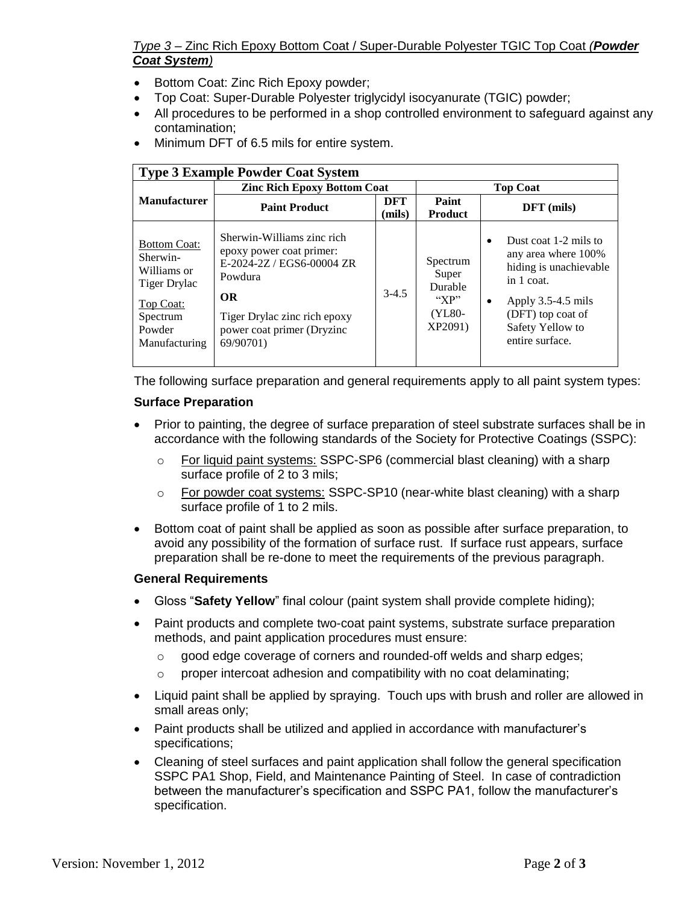# *Type 3 –* Zinc Rich Epoxy Bottom Coat / Super-Durable Polyester TGIC Top Coat *(Powder Coat System)*

- Bottom Coat: Zinc Rich Epoxy powder;
- Top Coat: Super-Durable Polyester triglycidyl isocyanurate (TGIC) powder;
- All procedures to be performed in a shop controlled environment to safeguard against any contamination;
- Minimum DFT of 6.5 mils for entire system.

| <b>Type 3 Example Powder Coat System</b>                                                                           |                                                                                                                                                                                        |                      |                                                              |                                                                                                                                                                               |  |  |  |  |
|--------------------------------------------------------------------------------------------------------------------|----------------------------------------------------------------------------------------------------------------------------------------------------------------------------------------|----------------------|--------------------------------------------------------------|-------------------------------------------------------------------------------------------------------------------------------------------------------------------------------|--|--|--|--|
|                                                                                                                    | <b>Zinc Rich Epoxy Bottom Coat</b>                                                                                                                                                     |                      | <b>Top Coat</b>                                              |                                                                                                                                                                               |  |  |  |  |
| <b>Manufacturer</b>                                                                                                | <b>Paint Product</b>                                                                                                                                                                   | <b>DFT</b><br>(mils) | Paint<br><b>Product</b>                                      | $DFT$ (mils)                                                                                                                                                                  |  |  |  |  |
| <b>Bottom Coat:</b><br>Sherwin-<br>Williams or<br>Tiger Drylac<br>Top Coat:<br>Spectrum<br>Powder<br>Manufacturing | Sherwin-Williams zinc rich<br>epoxy power coat primer:<br>E-2024-2Z / EGS6-00004 ZR<br>Powdura<br><b>OR</b><br>Tiger Drylac zinc rich epoxy<br>power coat primer (Dryzinc<br>69/90701) | $3 - 4.5$            | Spectrum<br>Super<br>Durable<br>" $XP"$<br>(YL80-<br>XP2091) | Dust coat 1-2 mils to<br>any area where 100%<br>hiding is unachievable<br>in 1 coat.<br>Apply $3.5-4.5$ mils<br>٠<br>(DFT) top coat of<br>Safety Yellow to<br>entire surface. |  |  |  |  |

The following surface preparation and general requirements apply to all paint system types:

# **Surface Preparation**

- Prior to painting, the degree of surface preparation of steel substrate surfaces shall be in accordance with the following standards of the Society for Protective Coatings (SSPC):
	- $\circ$  For liquid paint systems: SSPC-SP6 (commercial blast cleaning) with a sharp surface profile of 2 to 3 mils;
	- o For powder coat systems: SSPC-SP10 (near-white blast cleaning) with a sharp surface profile of 1 to 2 mils.
- Bottom coat of paint shall be applied as soon as possible after surface preparation, to avoid any possibility of the formation of surface rust. If surface rust appears, surface preparation shall be re-done to meet the requirements of the previous paragraph.

## **General Requirements**

- Gloss "**Safety Yellow**" final colour (paint system shall provide complete hiding);
- Paint products and complete two-coat paint systems, substrate surface preparation methods, and paint application procedures must ensure:
	- o good edge coverage of corners and rounded-off welds and sharp edges;
	- proper intercoat adhesion and compatibility with no coat delaminating;
- Liquid paint shall be applied by spraying. Touch ups with brush and roller are allowed in small areas only;
- Paint products shall be utilized and applied in accordance with manufacturer's specifications;
- Cleaning of steel surfaces and paint application shall follow the general specification SSPC PA1 Shop, Field, and Maintenance Painting of Steel. In case of contradiction between the manufacturer's specification and SSPC PA1, follow the manufacturer's specification.